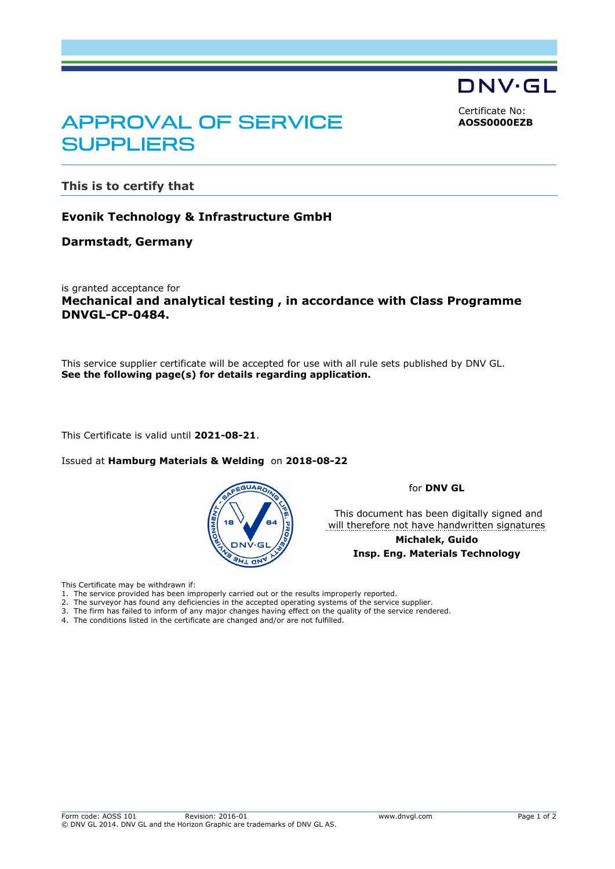DNV·GL

<span id="page-0-0"></span>Certificate No: **AOSS0000EZB**

# APPROVAL OF SERVICE **SUPPLIERS**

**This is to certify that**

### **Evonik Technology & Infrastructure GmbH**

#### **Darmstadt, Germany**

is granted acceptance for **Mechanical and analytical testing , in accordance with Class Programme DNVGL-CP-0484.**

This service supplier certificate will be accepted for use with all rule sets published by DNV GL. **See the following page(s) for details regarding application.**

This Certificate is valid until **2021-08-21**.

Issued at **Hamburg Materials & Welding** on **2018-08-22** 



for **DNV GL**

 This document has been digitally signed and will therefore not have handwritten signatures

> **Michalek, Guido Insp. Eng. Materials Technology**

This Certificate may be withdrawn if:

- 1. The service provided has been improperly carried out or the results improperly reported.
- 2. The surveyor has found any deficiencies in the accepted operating systems of the service supplier.
- 3. The firm has failed to inform of any major changes having effect on the quality of the service rendered. 4. The conditions listed in the certificate are changed and/or are not fulfilled.
-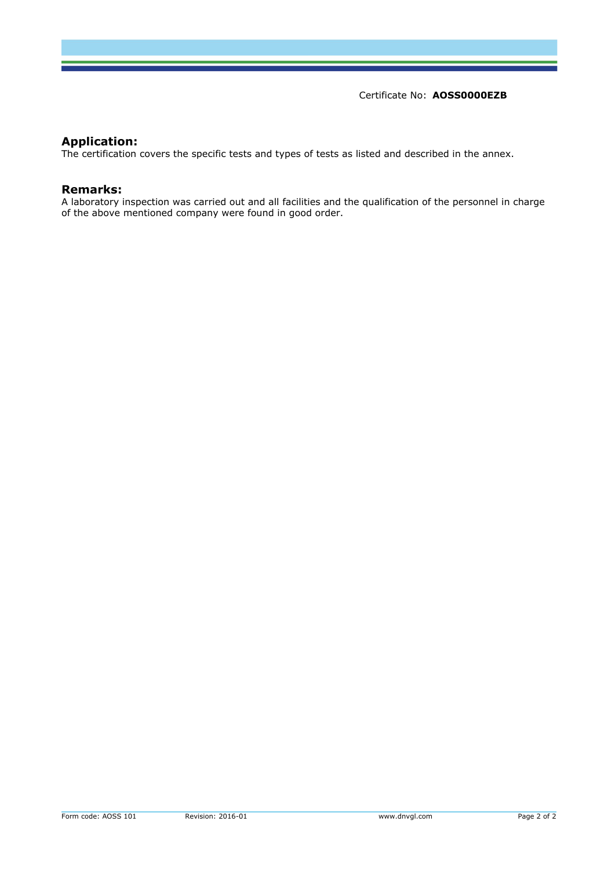Certificate No: **[AOSS0000EZB](#page-0-0)**

## **Application:**

The certification covers the specific tests and types of tests as listed and described in the annex.

#### **Remarks:**

A laboratory inspection was carried out and all facilities and the qualification of the personnel in charge of the above mentioned company were found in good order.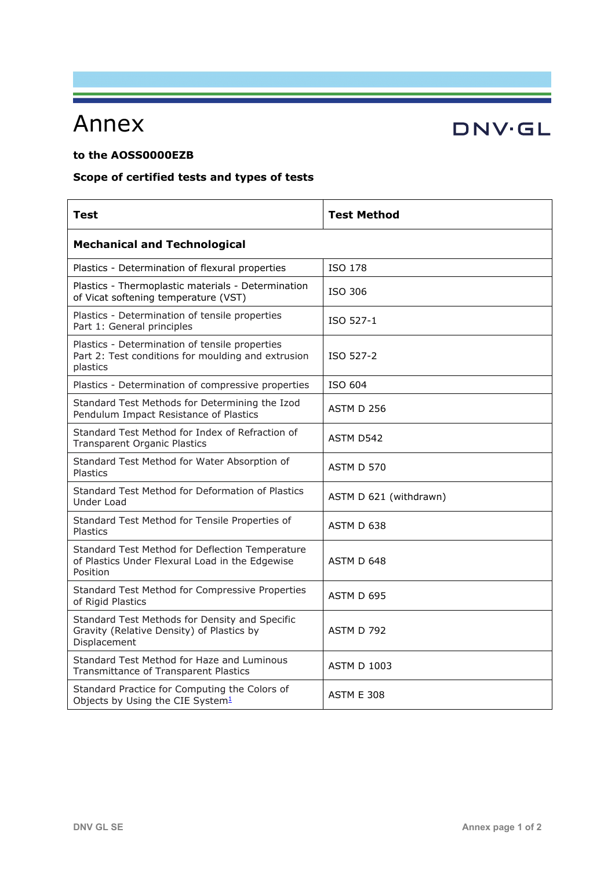# Annex

## **to the AOSS0000EZB**

# **Scope of certified tests and types of tests**

| <b>Test</b>                                                                                                      | <b>Test Method</b>     |  |
|------------------------------------------------------------------------------------------------------------------|------------------------|--|
| <b>Mechanical and Technological</b>                                                                              |                        |  |
| Plastics - Determination of flexural properties                                                                  | ISO 178                |  |
| Plastics - Thermoplastic materials - Determination<br>of Vicat softening temperature (VST)                       | ISO 306                |  |
| Plastics - Determination of tensile properties<br>Part 1: General principles                                     | ISO 527-1              |  |
| Plastics - Determination of tensile properties<br>Part 2: Test conditions for moulding and extrusion<br>plastics | ISO 527-2              |  |
| Plastics - Determination of compressive properties                                                               | ISO 604                |  |
| Standard Test Methods for Determining the Izod<br>Pendulum Impact Resistance of Plastics                         | <b>ASTM D 256</b>      |  |
| Standard Test Method for Index of Refraction of<br><b>Transparent Organic Plastics</b>                           | ASTM D542              |  |
| Standard Test Method for Water Absorption of<br><b>Plastics</b>                                                  | ASTM D 570             |  |
| Standard Test Method for Deformation of Plastics<br>Under Load                                                   | ASTM D 621 (withdrawn) |  |
| Standard Test Method for Tensile Properties of<br><b>Plastics</b>                                                | ASTM D 638             |  |
| Standard Test Method for Deflection Temperature<br>of Plastics Under Flexural Load in the Edgewise<br>Position   | ASTM D 648             |  |
| Standard Test Method for Compressive Properties<br>of Rigid Plastics                                             | ASTM D 695             |  |
| Standard Test Methods for Density and Specific<br>Gravity (Relative Density) of Plastics by<br>Displacement      | <b>ASTM D 792</b>      |  |
| Standard Test Method for Haze and Luminous<br>Transmittance of Transparent Plastics                              | <b>ASTM D 1003</b>     |  |
| Standard Practice for Computing the Colors of<br>Objects by Using the CIE System <sup>1</sup>                    | <b>ASTM E 308</b>      |  |

**DNV·GL**